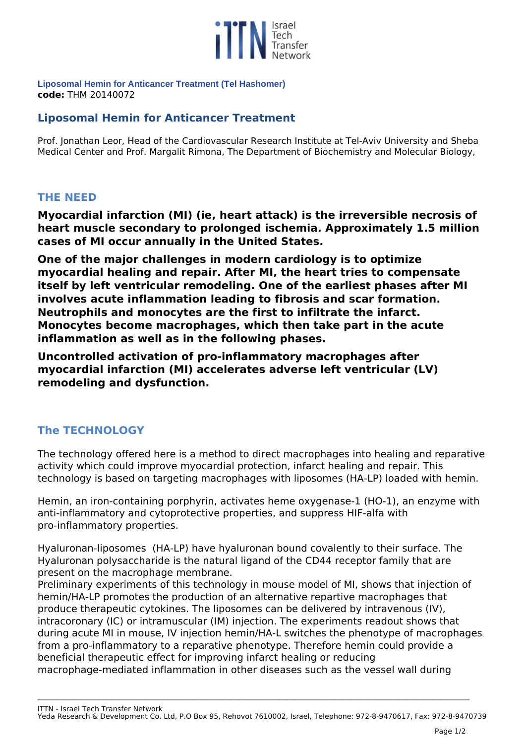

**Liposomal Hemin for Anticancer Treatment (Tel Hashomer) code:** *THM 20140072* 

## **Liposomal Hemin for Anticancer Treatment**

*Prof. Jonathan Leor, Head of the Cardiovascular Research Institute at Tel-Aviv University and Sheba Medical Center and Prof. Margalit Rimona, The Department of Biochemistry and Molecular Biology,* 

## **THE NEED**

**Myocardial infarction (MI) (ie, heart attack) is the irreversible necrosis of heart muscle secondary to prolonged ischemia. Approximately 1.5 million cases of MI occur annually in the United States.** 

**One of the major challenges in modern cardiology is to optimize myocardial healing and repair. After MI, the heart tries to compensate itself by left ventricular remodeling. One of the earliest phases after MI involves acute inflammation leading to fibrosis and scar formation. Neutrophils and monocytes are the first to infiltrate the infarct. Monocytes become macrophages, which then take part in the acute inflammation as well as in the following phases.** 

**Uncontrolled activation of pro-inflammatory macrophages after myocardial infarction (MI) accelerates adverse left ventricular (LV) remodeling and dysfunction.**

## **The TECHNOLOGY**

*The technology offered here is a method to direct macrophages into healing and reparative activity which could improve myocardial protection, infarct healing and repair. This technology is based on targeting macrophages with liposomes (HA-LP) loaded with hemin.*

*Hemin, an iron-containing porphyrin, activates heme oxygenase-1 (HO-1), an enzyme with anti-inflammatory and cytoprotective properties, and suppress HIF-alfa with pro-inflammatory properties.* 

*Hyaluronan-liposomes (HA-LP) have hyaluronan bound covalently to their surface. The Hyaluronan polysaccharide is the natural ligand of the CD44 receptor family that are present on the macrophage membrane.*

*Preliminary experiments of this technology in mouse model of MI, shows that injection of hemin/HA-LP promotes the production of an alternative repartive macrophages that produce therapeutic cytokines. The liposomes can be delivered by intravenous (IV), intracoronary (IC) or intramuscular (IM) injection. The experiments readout shows that during acute MI in mouse, IV injection hemin/HA-L switches the phenotype of macrophages from a pro-inflammatory to a reparative phenotype. Therefore hemin could provide a beneficial therapeutic effect for improving infarct healing or reducing macrophage-mediated inflammation in other diseases such as the vessel wall during*

*ITTN - Israel Tech Transfer Network Yeda Research & Development Co. Ltd, P.O Box 95, Rehovot 7610002, Israel, Telephone: 972-8-9470617, Fax: 972-8-9470739*

**\_\_\_\_\_\_\_\_\_\_\_\_\_\_\_\_\_\_\_\_\_\_\_\_\_\_\_\_\_\_\_\_\_\_\_\_\_\_\_\_\_\_\_\_\_\_\_\_\_\_\_\_\_\_\_\_\_\_\_\_\_\_\_\_\_\_\_\_\_\_\_\_\_\_\_\_\_\_\_\_\_\_\_\_\_\_\_\_\_\_\_\_\_\_\_\_\_\_\_\_\_\_\_\_\_\_\_\_\_\_\_\_\_\_\_\_\_\_\_\_\_\_\_\_\_\_\_\_\_\_\_\_\_\_\_\_\_\_\_\_\_\_\_\_\_\_\_\_\_\_\_\_\_\_\_\_\_\_\_\_\_\_\_**